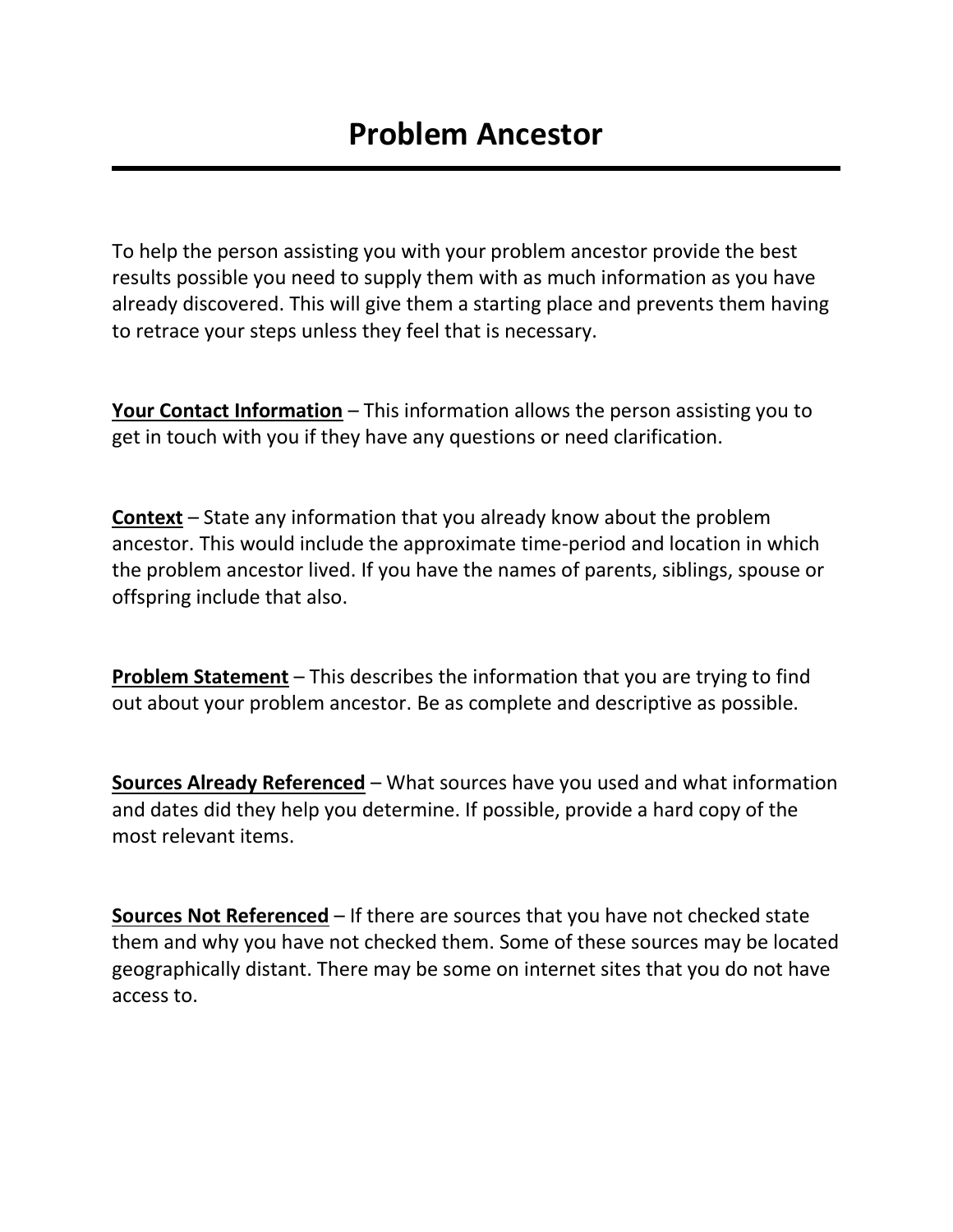To help the person assisting you with your problem ancestor provide the best results possible you need to supply them with as much information as you have already discovered. This will give them a starting place and prevents them having to retrace your steps unless they feel that is necessary.

**Your Contact Information** – This information allows the person assisting you to get in touch with you if they have any questions or need clarification.

**Context** – State any information that you already know about the problem ancestor. This would include the approximate time-period and location in which the problem ancestor lived. If you have the names of parents, siblings, spouse or offspring include that also.

**Problem Statement** – This describes the information that you are trying to find out about your problem ancestor. Be as complete and descriptive as possible.

**Sources Already Referenced** – What sources have you used and what information and dates did they help you determine. If possible, provide a hard copy of the most relevant items.

**Sources Not Referenced** – If there are sources that you have not checked state them and why you have not checked them. Some of these sources may be located geographically distant. There may be some on internet sites that you do not have access to.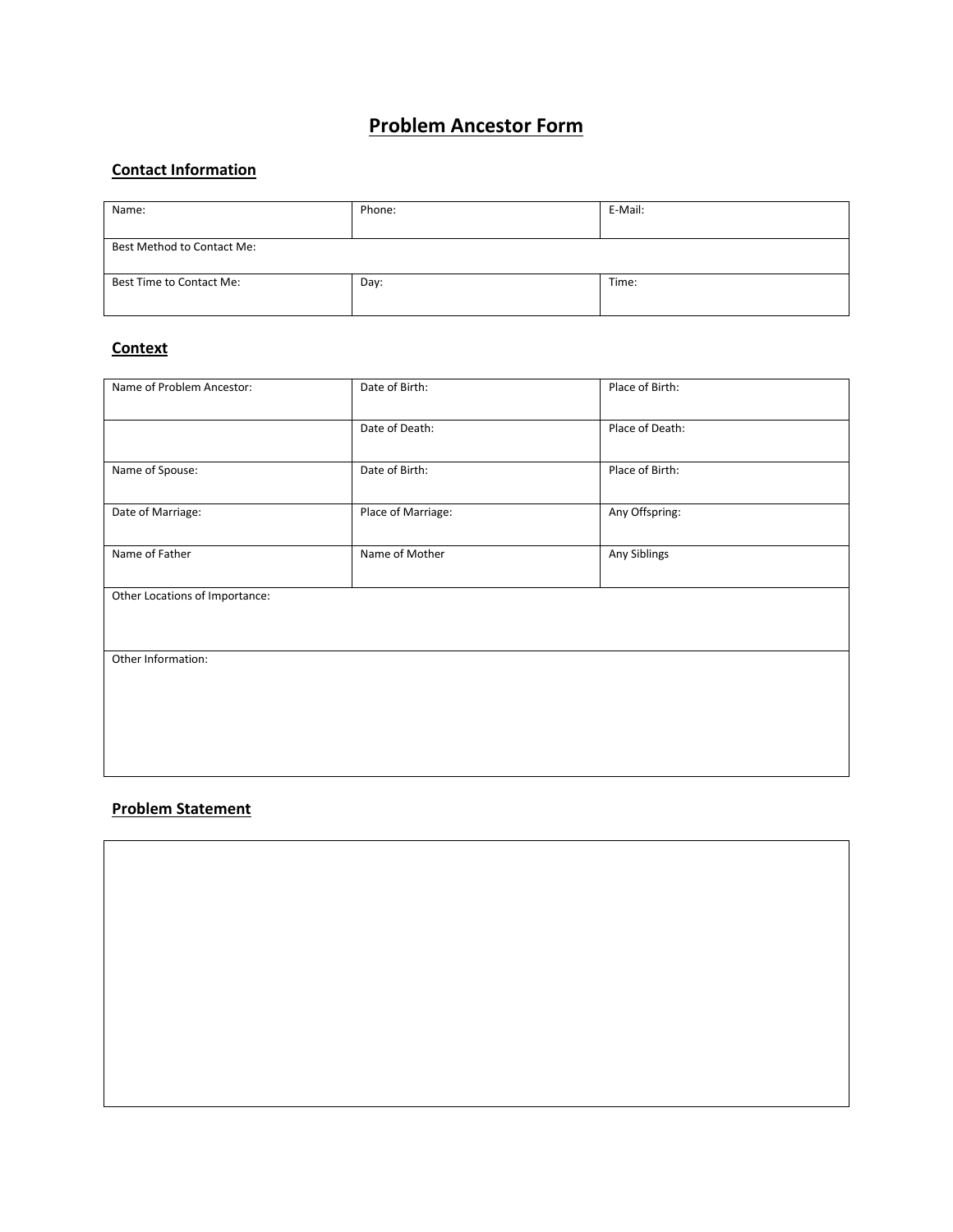# **Problem Ancestor Form**

## **Contact Information**

| Name:                      | Phone: | E-Mail: |  |  |  |
|----------------------------|--------|---------|--|--|--|
| Best Method to Contact Me: |        |         |  |  |  |
| Best Time to Contact Me:   | Day:   | Time:   |  |  |  |

#### **Context**

| Name of Problem Ancestor:      | Date of Birth:     | Place of Birth: |  |  |  |
|--------------------------------|--------------------|-----------------|--|--|--|
|                                | Date of Death:     | Place of Death: |  |  |  |
| Name of Spouse:                | Date of Birth:     | Place of Birth: |  |  |  |
| Date of Marriage:              | Place of Marriage: | Any Offspring:  |  |  |  |
| Name of Father                 | Name of Mother     | Any Siblings    |  |  |  |
| Other Locations of Importance: |                    |                 |  |  |  |
| Other Information:             |                    |                 |  |  |  |
|                                |                    |                 |  |  |  |
|                                |                    |                 |  |  |  |
|                                |                    |                 |  |  |  |

#### **Problem Statement**

 $\overline{\phantom{a}}$